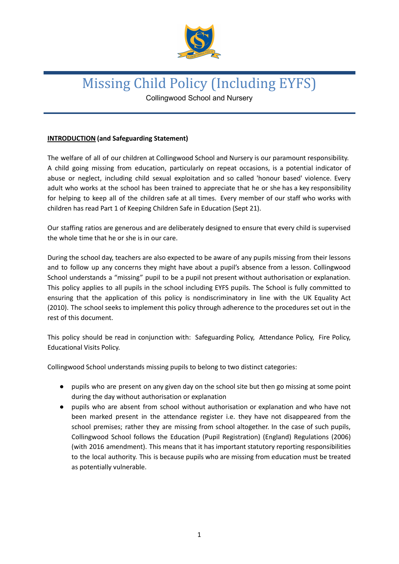

# Missing Child Policy (Including EYFS)

Collingwood School and Nursery

## **INTRODUCTION (and Safeguarding Statement)**

The welfare of all of our children at Collingwood School and Nursery is our paramount responsibility. A child going missing from education, particularly on repeat occasions, is a potential indicator of abuse or neglect, including child sexual exploitation and so called 'honour based' violence. Every adult who works at the school has been trained to appreciate that he or she has a key responsibility for helping to keep all of the children safe at all times. Every member of our staff who works with children has read Part 1 of Keeping Children Safe in Education (Sept 21).

Our staffing ratios are generous and are deliberately designed to ensure that every child is supervised the whole time that he or she is in our care.

During the school day, teachers are also expected to be aware of any pupils missing from their lessons and to follow up any concerns they might have about a pupil's absence from a lesson. Collingwood School understands a "missing" pupil to be a pupil not present without authorisation or explanation. This policy applies to all pupils in the school including EYFS pupils. The School is fully committed to ensuring that the application of this policy is nondiscriminatory in line with the UK Equality Act (2010). The school seeks to implement this policy through adherence to the procedures set out in the rest of this document.

This policy should be read in conjunction with: Safeguarding Policy, Attendance Policy, Fire Policy, Educational Visits Policy.

Collingwood School understands missing pupils to belong to two distinct categories:

- pupils who are present on any given day on the school site but then go missing at some point during the day without authorisation or explanation
- pupils who are absent from school without authorisation or explanation and who have not been marked present in the attendance register i.e. they have not disappeared from the school premises; rather they are missing from school altogether. In the case of such pupils, Collingwood School follows the Education (Pupil Registration) (England) Regulations (2006) (with 2016 amendment). This means that it has important statutory reporting responsibilities to the local authority. This is because pupils who are missing from education must be treated as potentially vulnerable.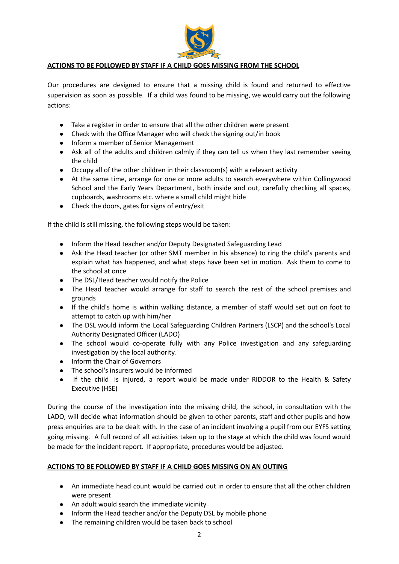

## **ACTIONS TO BE FOLLOWED BY STAFF IF A CHILD GOES MISSING FROM THE SCHOOL**

Our procedures are designed to ensure that a missing child is found and returned to effective supervision as soon as possible. If a child was found to be missing, we would carry out the following actions:

- Take a register in order to ensure that all the other children were present
- Check with the Office Manager who will check the signing out/in book
- Inform a member of Senior Management
- Ask all of the adults and children calmly if they can tell us when they last remember seeing the child
- Occupy all of the other children in their classroom(s) with a relevant activity
- At the same time, arrange for one or more adults to search everywhere within Collingwood School and the Early Years Department, both inside and out, carefully checking all spaces, cupboards, washrooms etc. where a small child might hide
- Check the doors, gates for signs of entry/exit

If the child is still missing, the following steps would be taken:

- Inform the Head teacher and/or Deputy Designated Safeguarding Lead
- Ask the Head teacher (or other SMT member in his absence) to ring the child's parents and explain what has happened, and what steps have been set in motion. Ask them to come to the school at once
- The DSL/Head teacher would notify the Police
- The Head teacher would arrange for staff to search the rest of the school premises and grounds
- If the child's home is within walking distance, a member of staff would set out on foot to attempt to catch up with him/her
- The DSL would inform the Local Safeguarding Children Partners (LSCP) and the school's Local Authority Designated Officer (LADO)
- The school would co-operate fully with any Police investigation and any safeguarding investigation by the local authority.
- Inform the Chair of Governors
- The school's insurers would be informed
- If the child is injured, a report would be made under RIDDOR to the Health & Safety Executive (HSE)

During the course of the investigation into the missing child, the school, in consultation with the LADO, will decide what information should be given to other parents, staff and other pupils and how press enquiries are to be dealt with. In the case of an incident involving a pupil from our EYFS setting going missing. A full record of all activities taken up to the stage at which the child was found would be made for the incident report. If appropriate, procedures would be adjusted.

#### **ACTIONS TO BE FOLLOWED BY STAFF IF A CHILD GOES MISSING ON AN OUTING**

- An immediate head count would be carried out in order to ensure that all the other children were present
- An adult would search the immediate vicinity
- Inform the Head teacher and/or the Deputy DSL by mobile phone
- The remaining children would be taken back to school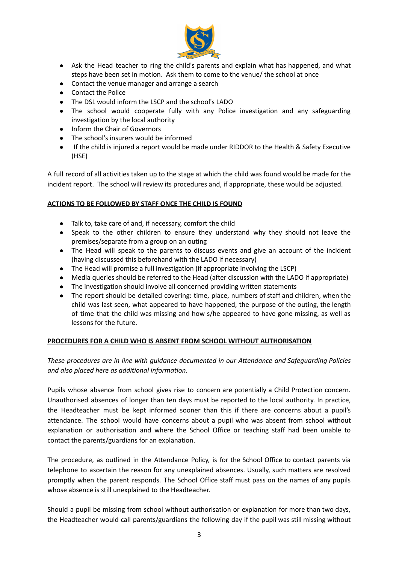

- Ask the Head teacher to ring the child's parents and explain what has happened, and what steps have been set in motion. Ask them to come to the venue/ the school at once
- Contact the venue manager and arrange a search
- Contact the Police
- The DSL would inform the LSCP and the school's LADO
- The school would cooperate fully with any Police investigation and any safeguarding investigation by the local authority
- Inform the Chair of Governors
- The school's insurers would be informed
- If the child is injured a report would be made under RIDDOR to the Health & Safety Executive (HSE)

A full record of all activities taken up to the stage at which the child was found would be made for the incident report. The school will review its procedures and, if appropriate, these would be adjusted.

## **ACTIONS TO BE FOLLOWED BY STAFF ONCE THE CHILD IS FOUND**

- Talk to, take care of and, if necessary, comfort the child
- Speak to the other children to ensure they understand why they should not leave the premises/separate from a group on an outing
- The Head will speak to the parents to discuss events and give an account of the incident (having discussed this beforehand with the LADO if necessary)
- The Head will promise a full investigation (if appropriate involving the LSCP)
- Media queries should be referred to the Head (after discussion with the LADO if appropriate)
- The investigation should involve all concerned providing written statements
- The report should be detailed covering: time, place, numbers of staff and children, when the child was last seen, what appeared to have happened, the purpose of the outing, the length of time that the child was missing and how s/he appeared to have gone missing, as well as lessons for the future.

## **PROCEDURES FOR A CHILD WHO IS ABSENT FROM SCHOOL WITHOUT AUTHORISATION**

*These procedures are in line with guidance documented in our Attendance and Safeguarding Policies and also placed here as additional information.*

Pupils whose absence from school gives rise to concern are potentially a Child Protection concern. Unauthorised absences of longer than ten days must be reported to the local authority. In practice, the Headteacher must be kept informed sooner than this if there are concerns about a pupil's attendance. The school would have concerns about a pupil who was absent from school without explanation or authorisation and where the School Office or teaching staff had been unable to contact the parents/guardians for an explanation.

The procedure, as outlined in the Attendance Policy, is for the School Office to contact parents via telephone to ascertain the reason for any unexplained absences. Usually, such matters are resolved promptly when the parent responds. The School Office staff must pass on the names of any pupils whose absence is still unexplained to the Headteacher.

Should a pupil be missing from school without authorisation or explanation for more than two days, the Headteacher would call parents/guardians the following day if the pupil was still missing without